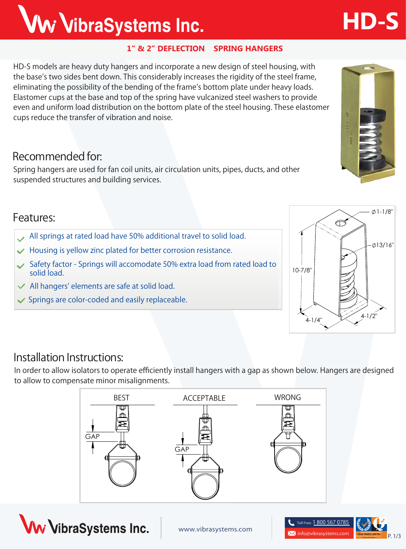### **1" & 2" DEFLECTION SPRING HANGERS**

**HD-S** models are heavy duty hangers and incorporate a new design of steel housing, with the base's two sides bent down. This considerably increases the rigidity of the steel frame, eliminating the possibility of the bending of the frame's bottom plate under heavy loads. Elastomer cups at the base and top of the spring have vulcanized steel washers to provide even and uniform load distribution on the bottom plate of the steel housing. These elastomer cups reduce the transfer of vibration and noise.

### **Recommended for:**

Spring hangers are used for fan coil units, air circulation units, pipes, ducts, and other suspended structures and building services.

### **Features:**

- **All springs at rated load have 50% additional travel to solid load.**
- **Housing is yellow zinc plated for better corrosion resistance.**
- **Safety factor Springs will accomodate 50% extra load from rated load to solid load.**
- **All hangers' elements are safe at solid load.**  $\checkmark$

**Installation Instructions:**

**Springs are color-coded and easily replaceable.**



In order to allow isolators to operate efficiently install hangers with a gap as shown below. Hangers are designed







 $4-1/4$ "  $4-1/2$ 



Ww VibraSystems Inc.

**HD-S**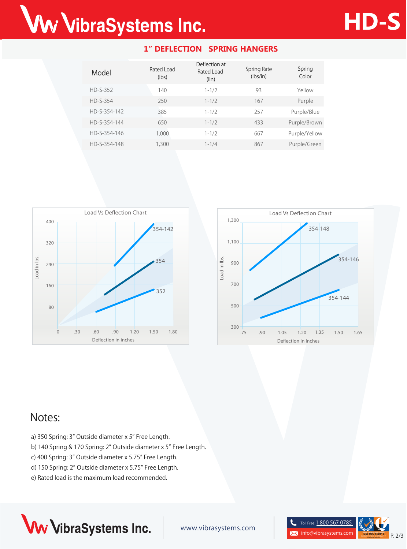# Ww VibraSystems Inc.

| Model        | Rated Load<br>(lbs) | Deflection at<br>Rated Load<br>(lin) | Spring Rate<br>(lbs/in) | Spring<br>Color |
|--------------|---------------------|--------------------------------------|-------------------------|-----------------|
| $HD-S-352$   | 140                 | $1 - 1/2$                            | 93                      | Yellow          |
| $HD-S-354$   | 250                 | $1 - 1/2$                            | 167                     | Purple          |
| HD-S-354-142 | 385                 | $1 - 1/2$                            | 257                     | Purple/Blue     |
| HD-S-354-144 | 650                 | $1 - 1/2$                            | 433                     | Purple/Brown    |
| HD-S-354-146 | 1,000               | $1 - 1/2$                            | 667                     | Purple/Yellow   |
| HD-S-354-148 | 1,300               | $1 - 1/4$                            | 867                     | Purple/Green    |

**1" DEFLECTION SPRING HANGERS**





## **Notes:**

- a) 350 Spring: 3" Outside diameter x 5" Free Length.
- b) 140 Spring & 170 Spring: 2" Outside diameter x 5" Free Length.
- c) 400 Spring: 3" Outside diameter x 5.75" Free Length.
- d) 150 Spring: 2" Outside diameter x 5.75" Free Length.
- e) Rated load is the maximum load recommended.



www.vibrasystems.com